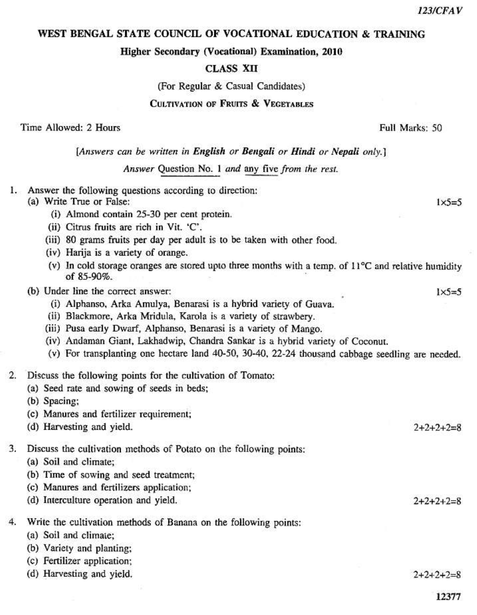## WEST BENGAL STATE COUNCIL OF VOCATIONAL EDUCATION & TRAINING

Higher Secondary (Vocational) Examination, 2010

### **CLASS XII**

(For Regular & Casual Candidates)

## **CULTIVATION OF FRUITS & VEGETABLES**

Time Allowed: 2 Hours

## [Answers can be written in English or Bengali or Hindi or Nepali only.]

Answer Question No. 1 and any five from the rest.

1. Answer the following questions according to direction:

## (a) Write True or False:

- (i) Almond contain 25-30 per cent protein.
- (ii) Citrus fruits are rich in Vit. 'C'.
- (iii) 80 grams fruits per day per adult is to be taken with other food.
- (iv) Harija is a variety of orange.
- (v) In cold storage oranges are stored upto three months with a temp. of  $11^{\circ}$ C and relative humidity of 85-90%.

## (b) Under line the correct answer:

- (i) Alphanso, Arka Amulya, Benarasi is a hybrid variety of Guava.
- (ii) Blackmore, Arka Mridula, Karola is a variety of strawbery.
- (iii) Pusa early Dwarf, Alphanso, Benarasi is a variety of Mango.
- (iv) Andaman Giant, Lakhadwip, Chandra Sankar is a hybrid variety of Coconut.
- (v) For transplanting one hectare land 40-50, 30-40, 22-24 thousand cabbage seedling are needed.

#### $\overline{2}$ . Discuss the following points for the cultivation of Tomato:

- (a) Seed rate and sowing of seeds in beds;
- (b) Spacing;
- (c) Manures and fertilizer requirement;
- (d) Harvesting and yield.

#### 3. Discuss the cultivation methods of Potato on the following points:

- (a) Soil and climate:
- (b) Time of sowing and seed treatment;
- (c) Manures and fertilizers application;
- (d) Interculture operation and yield.
- $\overline{4}$ Write the cultivation methods of Banana on the following points:
	- (a) Soil and climate;
	- (b) Variety and planting;
	- (c) Fertilizer application;
	- (d) Harvesting and vield.

 $2+2+2+2=8$ 

 $2+2+2+2=8$ 

 $2+2+2+2=8$ 

Full Marks: 50

 $1\times5=5$ 

 $1\times$ 5=5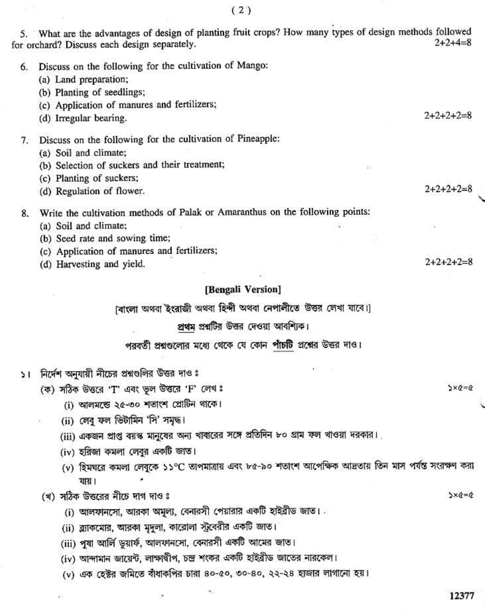5. What are the advantages of design of planting fruit crops? How many types of design methods followed  $2+2+4=8$ for orchard? Discuss each design separately. 6. Discuss on the following for the cultivation of Mango: (a) Land preparation; (b) Planting of seedlings; (c) Application of manures and fertilizers;  $2+2+2+2=8$ (d) Irregular bearing.

## 7. Discuss on the following for the cultivation of Pineapple:

(a) Soil and climate;

- (b) Selection of suckers and their treatment;
- (c) Planting of suckers;
- (d) Regulation of flower.

# 8. Write the cultivation methods of Palak or Amaranthus on the following points:

- (a) Soil and climate;
- (b) Seed rate and sowing time;
- (c) Application of manures and fertilizers;
- (d) Harvesting and yield.

## [Bengali Version]

(বাংলা অথবা ইংরাজী অথবা হিন্দী অথবা নেপালীতে উত্তর লেখা যাবে।)

## প্রথম প্রশ্নটির উত্তর দেওয়া আবশ্যিক।

## পরবর্তী প্রশ্নগুলোর মধ্যে থেকে যে কোন পাঁচটি প্রশ্নের উত্তর দাও।

- ১। নির্দেশ অনুযায়ী নীচের প্রশ্নগুলির উত্তর দাও ঃ
	- (ক) সঠিক উত্তরে 'T' এবং ভূল উত্তরে 'F' লেখ ঃ
		- (i) আলমন্তে ২৫-৩০ শতাংশ প্রোটিন থাকে।
		- (ii) লেবু ফল ভিটামিন 'সি' সমৃদ্ধ।
		- (iii) একজন প্রাপ্ত বয়স্ক মানুষের অন্য খাবারের সঙ্গে প্রতিদিন ৮০ গ্রাম ফল খাওয়া দরকার।
		- (iv) হরিজা কমলা লেবুর একটি জাত।
		- (v) হিমঘরে কমলা লেবুকে ১১°C তাপমাত্রায় এবং ৮৫-৯০ শতাংশ আপেক্ষিক আদ্রতায় তিন মাস পর্যন্ত সংরক্ষণ করা যায়।
	- (খ) সঠিক উত্তরের নীচে দাগ দাও ঃ
		- (i) আলফানসো, আরকা অমূল্য, বেনারসী পেয়ারার একটি হাইব্রীড জাত।
		- (ii) ব্র্যাকমোর, আরকা মুদুলা, কারোলা স্ট্রবেরীর একটি জাত।
		- (iii) পুষা আর্লি ডুয়ার্ফ, আলফানসো, বেনারসী একটি আমের জাত।
		- (iv) আন্দামান জায়েন্ট, লাক্ষাদ্বীপ, চন্দ্র শংকর একটি হাইব্রীড জাতের নারকেল।
		- (v) এক হেক্টর জমিতে বীধাকপির চারা ৪০-৫০, ৩০-৪০, ২২-২৪ হাজার লাগানো হয়।

 $5 \times 6 = 6$ 

 $3 \times 6 = 0$ 

 $2+2+2+2=8$ 

 $2+2+2+2=8$